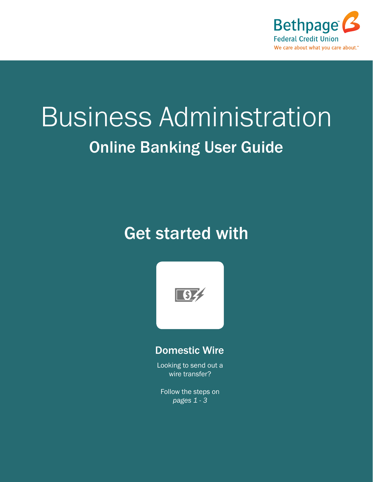

# Business Administration Online Banking User Guide

### Get started with



#### Domestic Wire

Looking to send out a wire transfer?

Follow the steps on *pages 1 - 3*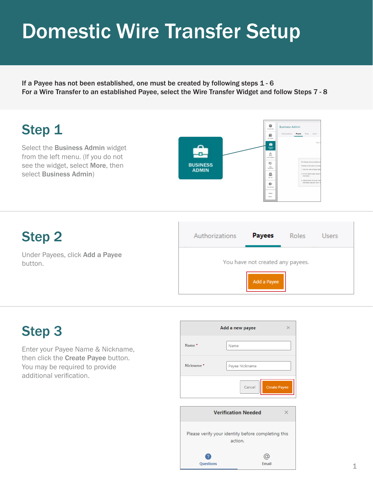### Domestic Wire Transfer Setup

If a Payee has not been established, one must be created by following steps 1 - 6 For a Wire Transfer to an established Payee, select the Wire Transfer Widget and follow Steps 7 - 8



### Step 2

Under Payees, click Add a Payee button.



Email

### Step 3

Enter your Payee Name & Nickname, then click the Create Payee button. You may be required to provide additional verification.



**Ouestions**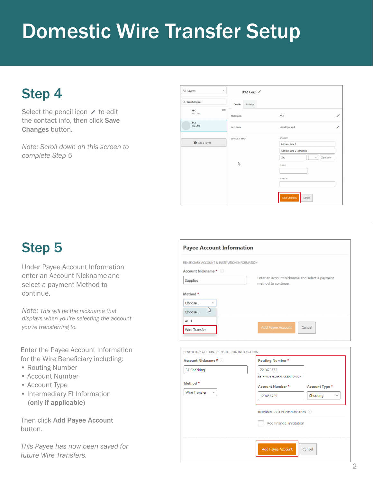## Domestic Wire Transfer Setup

### Step 4

Select the pencil icon  $\prime$  to edit the contact info, then click Save Changes button.

*Note: Scroll down on this screen to complete Step 5*

| All Payees<br>$\omega$                     | XYZ Corp ∕                 |                                       |  |  |
|--------------------------------------------|----------------------------|---------------------------------------|--|--|
| Q Search Payees                            | Activity<br><b>Details</b> |                                       |  |  |
| $\overline{\text{RSE}}$<br>ABC<br>ABC Corp | NICKNAME                   | XYZ                                   |  |  |
| XYZ<br>XYZ Corp                            | CATEGORY                   | ∕<br>Uncategorized                    |  |  |
| Add a Payee                                | <b>CONTACT INFO</b>        | <b>ADDRESS</b><br>Address Line 1      |  |  |
|                                            |                            | Address Line 2 (optional)             |  |  |
|                                            | $\mathbb{Q}$               | $\omega$<br>Zip Code<br>City<br>PHONE |  |  |
|                                            |                            |                                       |  |  |
|                                            |                            | WEBSITE                               |  |  |
|                                            |                            | <b>Save Changes</b><br>Cancel         |  |  |

### Step 5

Under Payee Account Information enter an Account Nickname and select a payment Method to continue.

*Note: This will be the nickname that displays when you're selecting the account you're transferring to.*

Enter the Payee Account Information for the Wire Beneficiary including:

- Routing Number
- Account Number
- Account Type
- Intermediary FI Information (only if applicable)

Then click Add Payee Account button.

*This Payee has now been saved for future Wire Transfers.*

| BENEFICIARY ACCOUNT & INSTITUTION INFORMATION |                                                                       |
|-----------------------------------------------|-----------------------------------------------------------------------|
| Account Nickname * 0                          |                                                                       |
| Supplies                                      | Enter an account nickname and select a payment<br>method to continue. |
| Method <sup>*</sup>                           |                                                                       |
| Choose<br>h.                                  |                                                                       |
| $\mathbb{Z}$<br>Choose                        |                                                                       |
| ACH                                           |                                                                       |
| Wire Transfer                                 | Add Payee Account<br>Cancel                                           |
|                                               |                                                                       |
|                                               |                                                                       |
| BENEFICIARY ACCOUNT & INSTITUTION INFORMATION |                                                                       |
| Account Nickname * (i)                        | <b>Routing Number*</b>                                                |
| <b>BT Checking</b>                            | 221473652                                                             |
|                                               | BETHPAGE FEDERAL CREDIT UNION                                         |
| Method *<br>Wire Transfer<br>$\mathcal{A}$    | <b>Account Number*</b><br>Account Type *                              |
|                                               | Chocking<br>122456700<br>Aug.                                         |

**INTERMEDIARY FI INFORMATION** Add financial institution

Add Payee Account

Cancel

2